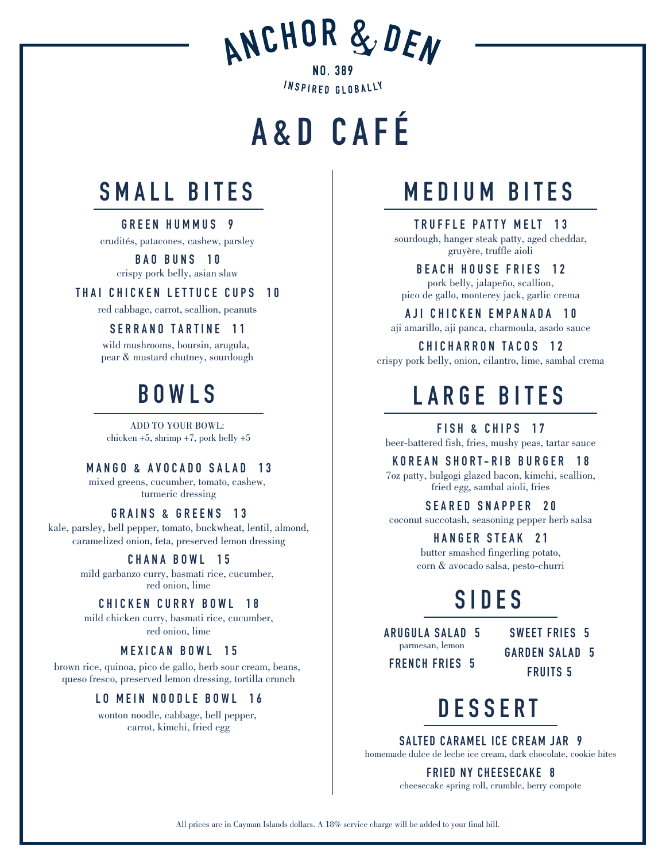ANCHOR & DEN

**NO. 389** INSPIRED GLOBALLY

# **A&D CAFÉ**



**GREEN HUMMUS 9** crudités, patacones, cashew, parsley

> **BAO BUNS 10** crispy pork belly, asian slaw

**THAI CHICKEN LETTUCE CUPS 10**

red cabbage, carrot, scallion, peanuts

#### **SERRANO TARTINE 11**

wild mushrooms, boursin, arugula, pear & mustard chutney, sourdough

## **BOWLS**

ADD TO YOUR BOWL: chicken +5, shrimp +7, pork belly +5

#### **MANGO & AVOCADO SALAD 13**

mixed greens, cucumber, tomato, cashew, turmeric dressing

#### **GRAINS & GREENS 13**

kale, parsley, bell pepper, tomato, buckwheat, lentil, almond, caramelized onion, feta, preserved lemon dressing

#### **CHANA BOWL 15**

mild garbanzo curry, basmati rice, cucumber, red onion, lime

#### **CHICKEN CURRY BOWL 18**

mild chicken curry, basmati rice, cucumber, red onion, lime

#### **MEXICAN BOWL 15**

brown rice, quinoa, pico de gallo, herb sour cream, beans, queso fresco, preserved lemon dressing, tortilla crunch

#### **LO MEIN NOODLE BOWL 16**

wonton noodle, cabbage, bell pepper, carrot, kimchi, fried egg

### **MEDIUM BITES**

**TRUFFLE PATTY MELT 13**

sourdough, hanger steak patty, aged cheddar, gruyère, truffle aioli

**BEACH HOUSE FRIES 12** pork belly, jalapeño, scallion, pico de gallo, monterey jack, garlic crema

#### **AJI CHICKEN EMPANADA 10**

aji amarillo, aji panca, charmoula, asado sauce

**CHICHARRON TACOS 12** crispy pork belly, onion, cilantro, lime, sambal crema

# **LARGE BITES**

**FISH & CHIPS 17** beer-battered fish, fries, mushy peas, tartar sauce

**KOREAN SHORT-RIB BURGER 18**

7oz patty, bulgogi glazed bacon, kimchi, scallion, fried egg, sambal aioli, fries

#### **SEARED SNAPPER 20**

coconut succotash, seasoning pepper herb salsa

#### **HANGER STEAK 21**

butter smashed fingerling potato, corn & avocado salsa, pesto-churri

### **SIDES**

**ARUGULA SALAD 5** parmesan, lemon

**FRENCH FRIES 5**

**SWEET FRIES 5 GARDEN SALAD 5 FRUITS 5**

# **DESSERT**

**SALTED CARAMEL ICE CREAM JAR 9** homemade dulce de leche ice cream, dark chocolate, cookie bites

**FRIED NY CHEESECAKE 8**

cheesecake spring roll, crumble, berry compote

All prices are in Cayman Islands dollars. A 18% service charge will be added to your final bill.